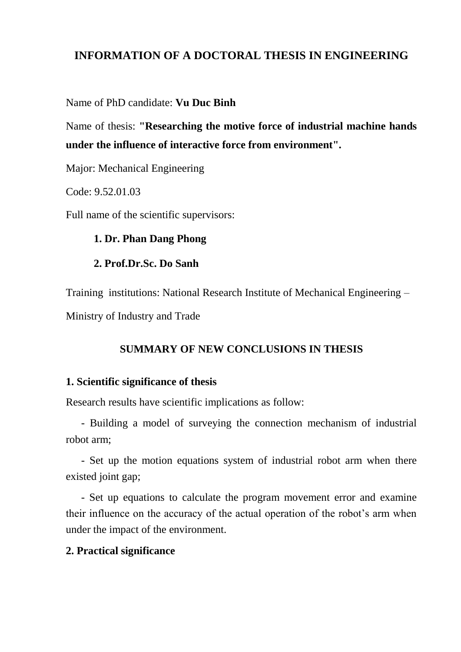# **INFORMATION OF A DOCTORAL THESIS IN ENGINEERING**

### Name of PhD candidate: **Vu Duc Binh**

Name of thesis: **"Researching the motive force of industrial machine hands under the influence of interactive force from environment".**

Major: Mechanical Engineering

Code: 9.52.01.03

Full name of the scientific supervisors:

### **1. Dr. Phan Dang Phong**

### **2. Prof.Dr.Sc. Do Sanh**

Training institutions: National Research Institute of Mechanical Engineering – Ministry of Industry and Trade

## **SUMMARY OF NEW CONCLUSIONS IN THESIS**

## **1. Scientific significance of thesis**

Research results have scientific implications as follow:

- Building a model of surveying the connection mechanism of industrial robot arm;

- Set up the motion equations system of industrial robot arm when there existed joint gap;

- Set up equations to calculate the program movement error and examine their influence on the accuracy of the actual operation of the robot's arm when under the impact of the environment.

## **2. Practical significance**